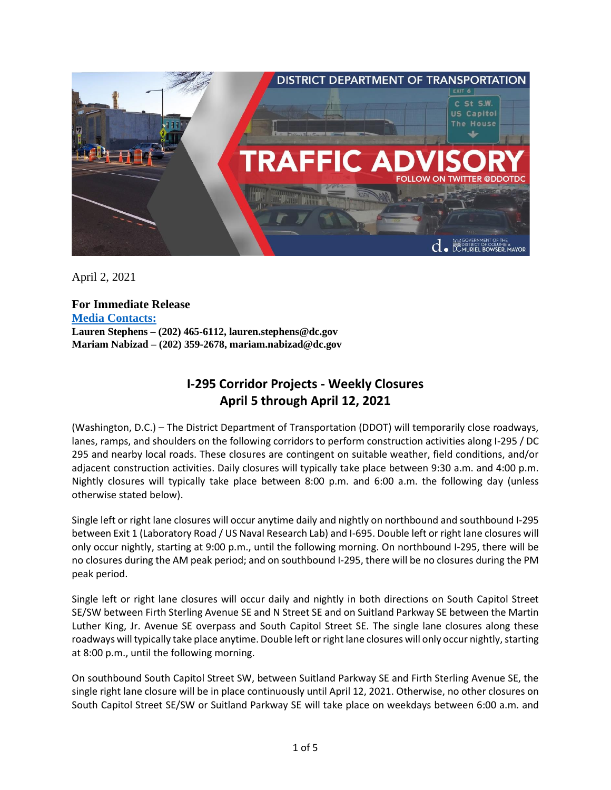

April 2, 2021

**For Immediate Release Media Contacts: Lauren Stephens – (202) 465-6112, lauren.stephens@dc.gov Mariam Nabizad – (202) 359-2678, mariam.nabizad@dc.gov**

## **I-295 Corridor Projects - Weekly Closures April 5 through April 12, 2021**

(Washington, D.C.) – The District Department of Transportation (DDOT) will temporarily close roadways, lanes, ramps, and shoulders on the following corridors to perform construction activities along I-295 / DC 295 and nearby local roads. These closures are contingent on suitable weather, field conditions, and/or adjacent construction activities. Daily closures will typically take place between 9:30 a.m. and 4:00 p.m. Nightly closures will typically take place between 8:00 p.m. and 6:00 a.m. the following day (unless otherwise stated below).

Single left or right lane closures will occur anytime daily and nightly on northbound and southbound I-295 between Exit 1 (Laboratory Road / US Naval Research Lab) and I-695. Double left or right lane closures will only occur nightly, starting at 9:00 p.m., until the following morning. On northbound I-295, there will be no closures during the AM peak period; and on southbound I-295, there will be no closures during the PM peak period.

Single left or right lane closures will occur daily and nightly in both directions on South Capitol Street SE/SW between Firth Sterling Avenue SE and N Street SE and on Suitland Parkway SE between the Martin Luther King, Jr. Avenue SE overpass and South Capitol Street SE. The single lane closures along these roadways will typically take place anytime. Double left or right lane closures will only occur nightly, starting at 8:00 p.m., until the following morning.

On southbound South Capitol Street SW, between Suitland Parkway SE and Firth Sterling Avenue SE, the single right lane closure will be in place continuously until April 12, 2021. Otherwise, no other closures on South Capitol Street SE/SW or Suitland Parkway SE will take place on weekdays between 6:00 a.m. and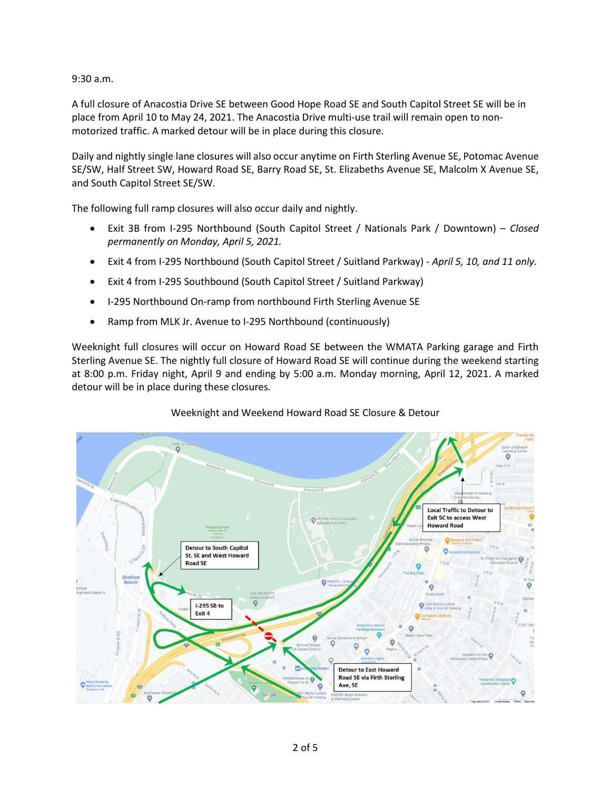9:30 a.m.

A full closure of Anacostia Drive SE between Good Hope Road SE and South Capitol Street SE will be in place from April 10 to May 24, 2021. The Anacostia Drive multi-use trail will remain open to nonmotorized traffic. A marked detour will be in place during this closure.

Daily and nightly single lane closures will also occur anytime on Firth Sterling Avenue SE, Potomac Avenue SE/SW, Half Street SW, Howard Road SE, Barry Road SE, St. Elizabeths Avenue SE, Malcolm X Avenue SE, and South Capitol Street SE/SW.

The following full ramp closures will also occur daily and nightly.

- Exit 3B from I-295 Northbound (South Capitol Street / Nationals Park / Downtown) *Closed permanently on Monday, April 5, 2021.*
- Exit 4 from I-295 Northbound (South Capitol Street / Suitland Parkway) *April 5, 10, and 11 only.*
- Exit 4 from I-295 Southbound (South Capitol Street / Suitland Parkway)
- I-295 Northbound On-ramp from northbound Firth Sterling Avenue SE
- Ramp from MLK Jr. Avenue to I-295 Northbound (continuously)

Weeknight full closures will occur on Howard Road SE between the WMATA Parking garage and Firth Sterling Avenue SE. The nightly full closure of Howard Road SE will continue during the weekend starting at 8:00 p.m. Friday night, April 9 and ending by 5:00 a.m. Monday morning, April 12, 2021. A marked detour will be in place during these closures.

# $\sum_{n=1}^{\infty}$ Local Traffic to Detour to **Exit 5C to access West Howard Road** Detour to South Capitol St. SE and West Howard **Road SE** I-295 SB to Exit 4 **Detour to East Howard Road SE via Firth Sterling** Ave, SE

### Weeknight and Weekend Howard Road SE Closure & Detour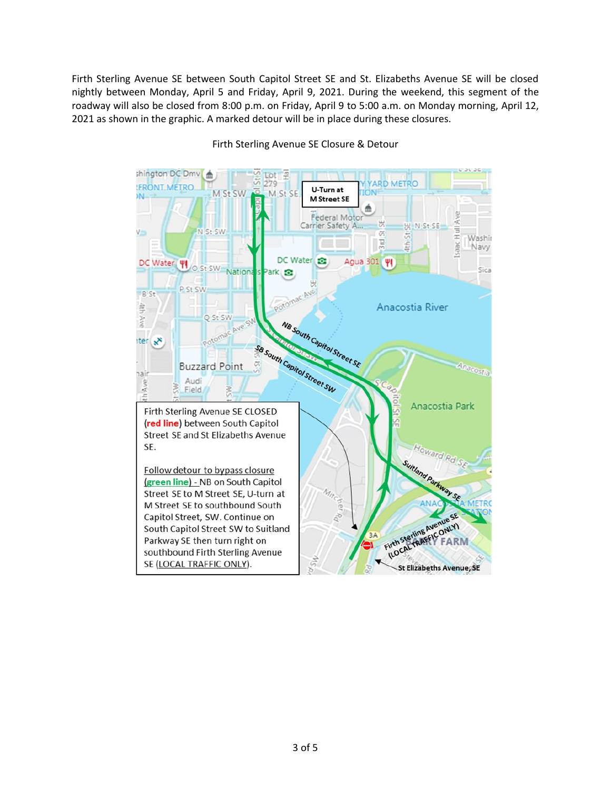Firth Sterling Avenue SE between South Capitol Street SE and St. Elizabeths Avenue SE will be closed nightly between Monday, April 5 and Friday, April 9, 2021. During the weekend, this segment of the roadway will also be closed from 8:00 p.m. on Friday, April 9 to 5:00 a.m. on Monday morning, April 12, 2021 as shown in the graphic. A marked detour will be in place during these closures.



#### Firth Sterling Avenue SE Closure & Detour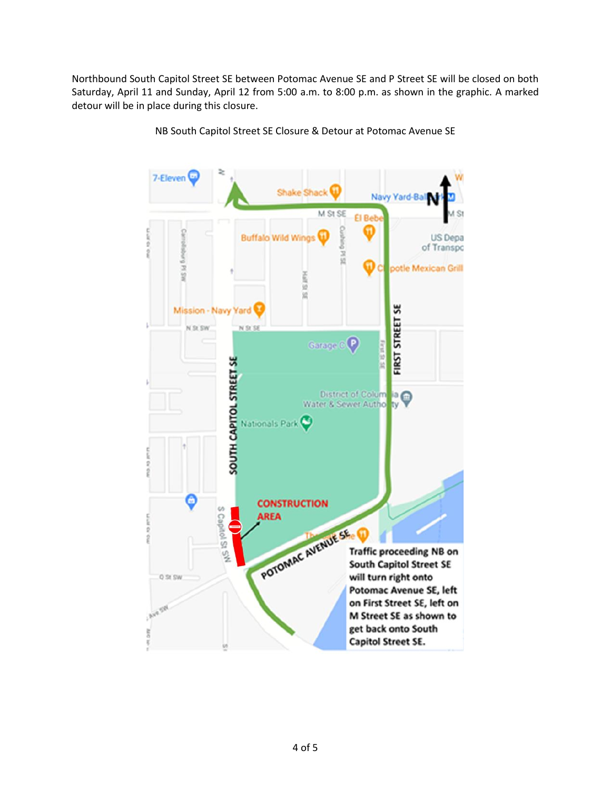Northbound South Capitol Street SE between Potomac Avenue SE and P Street SE will be closed on both Saturday, April 11 and Sunday, April 12 from 5:00 a.m. to 8:00 p.m. as shown in the graphic. A marked detour will be in place during this closure.



NB South Capitol Street SE Closure & Detour at Potomac Avenue SE